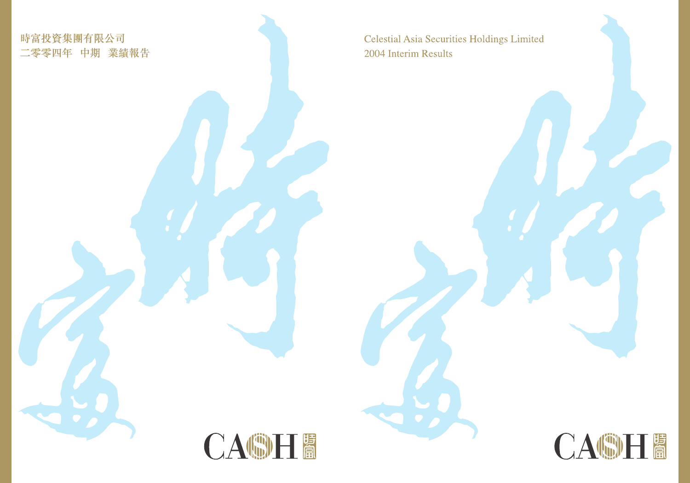Celestial Asia Securities Holdings Limited 2004 Interim Results

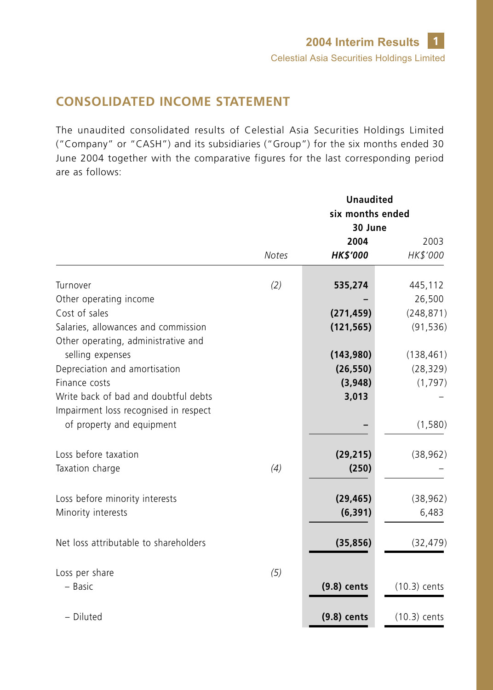# **CONSOLIDATED INCOME STATEMENT**

The unaudited consolidated results of Celestial Asia Securities Holdings Limited ("Company" or "CASH") and its subsidiaries ("Group") for the six months ended 30 June 2004 together with the comparative figures for the last corresponding period are as follows:

|                                                                    |              | <b>Unaudited</b><br>six months ended<br>30 June |                |
|--------------------------------------------------------------------|--------------|-------------------------------------------------|----------------|
|                                                                    |              | 2004                                            | 2003           |
|                                                                    | <b>Notes</b> | <b>HK\$'000</b>                                 | HK\$'000       |
| Turnover                                                           | (2)          | 535,274                                         | 445,112        |
| Other operating income                                             |              |                                                 | 26,500         |
| Cost of sales                                                      |              | (271, 459)                                      | (248, 871)     |
| Salaries, allowances and commission                                |              | (121, 565)                                      | (91, 536)      |
| Other operating, administrative and                                |              |                                                 |                |
| selling expenses                                                   |              | (143,980)                                       | (138, 461)     |
| Depreciation and amortisation<br>Finance costs                     |              | (26, 550)                                       | (28, 329)      |
| Write back of bad and doubtful debts                               |              | (3,948)                                         | (1,797)        |
|                                                                    |              | 3,013                                           |                |
| Impairment loss recognised in respect<br>of property and equipment |              |                                                 | (1,580)        |
|                                                                    |              |                                                 |                |
| Loss before taxation                                               |              | (29, 215)                                       | (38, 962)      |
| Taxation charge                                                    | (4)          | (250)                                           |                |
|                                                                    |              |                                                 |                |
| Loss before minority interests                                     |              | (29, 465)                                       | (38, 962)      |
| Minority interests                                                 |              | (6, 391)                                        | 6,483          |
| Net loss attributable to shareholders                              |              | (35, 856)                                       | (32, 479)      |
| Loss per share                                                     | (5)          |                                                 |                |
| - Basic                                                            |              | $(9.8)$ cents                                   | $(10.3)$ cents |
|                                                                    |              |                                                 |                |
| - Diluted                                                          |              | $(9.8)$ cents                                   | $(10.3)$ cents |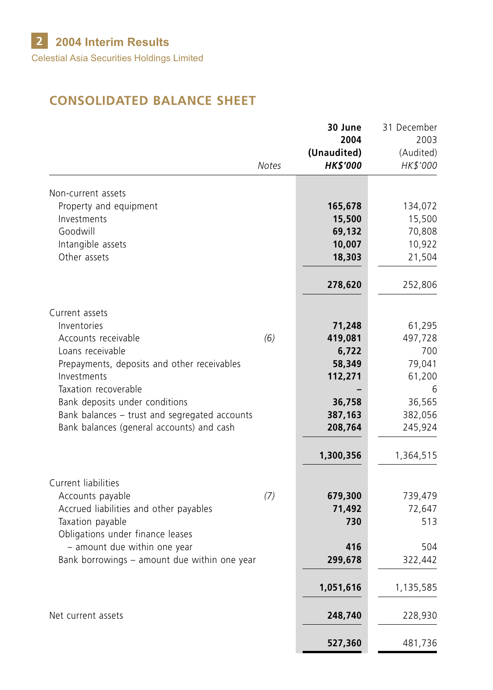# **CONSOLIDATED BALANCE SHEET**

|                                                            |              | 30 June<br>2004                | 31 December<br>2003   |
|------------------------------------------------------------|--------------|--------------------------------|-----------------------|
|                                                            | <b>Notes</b> | (Unaudited)<br><b>HK\$'000</b> | (Audited)<br>HK\$'000 |
|                                                            |              |                                |                       |
| Non-current assets                                         |              |                                |                       |
| Property and equipment                                     |              | 165,678                        | 134,072               |
| Investments<br>Goodwill                                    |              | 15,500<br>69,132               | 15,500<br>70,808      |
| Intangible assets                                          |              | 10,007                         | 10,922                |
| Other assets                                               |              | 18,303                         | 21,504                |
|                                                            |              |                                |                       |
|                                                            |              | 278,620                        | 252,806               |
| Current assets                                             |              |                                |                       |
| Inventories                                                |              | 71,248                         | 61,295                |
| Accounts receivable                                        | (6)          | 419,081                        | 497,728               |
| Loans receivable                                           |              | 6,722                          | 700                   |
| Prepayments, deposits and other receivables<br>Investments |              | 58,349<br>112,271              | 79,041<br>61,200      |
| Taxation recoverable                                       |              |                                | 6                     |
| Bank deposits under conditions                             |              | 36,758                         | 36,565                |
| Bank balances - trust and segregated accounts              |              | 387,163                        | 382,056               |
| Bank balances (general accounts) and cash                  |              | 208,764                        | 245,924               |
|                                                            |              | 1,300,356                      | 1,364,515             |
|                                                            |              |                                |                       |
| Current liabilities<br>Accounts payable                    | (7)          | 679,300                        | 739,479               |
| Accrued liabilities and other payables                     |              | 71,492                         | 72,647                |
| Taxation payable                                           |              | 730                            | 513                   |
| Obligations under finance leases                           |              |                                |                       |
| - amount due within one year                               |              | 416                            | 504                   |
| Bank borrowings - amount due within one year               |              | 299,678                        | 322,442               |
|                                                            |              | 1,051,616                      | 1,135,585             |
| Net current assets                                         |              | 248,740                        | 228,930               |
|                                                            |              | 527,360                        | 481,736               |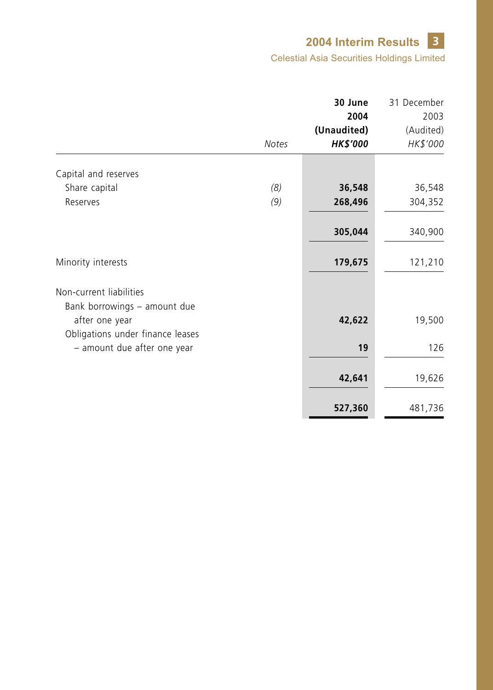## **3 2004 Interim Results**

Celestial Asia Securities Holdings Limited

|                                                                                    |              | 30 June         | 31 December |
|------------------------------------------------------------------------------------|--------------|-----------------|-------------|
|                                                                                    |              | 2004            | 2003        |
|                                                                                    |              | (Unaudited)     | (Audited)   |
|                                                                                    | <b>Notes</b> | <b>HK\$'000</b> | HK\$'000    |
| Capital and reserves                                                               |              |                 |             |
| Share capital                                                                      | (8)          | 36,548          | 36,548      |
| Reserves                                                                           | (9)          | 268,496         | 304,352     |
|                                                                                    |              | 305,044         | 340,900     |
| Minority interests                                                                 |              | 179,675         | 121,210     |
| Non-current liabilities                                                            |              |                 |             |
| Bank borrowings - amount due<br>after one year<br>Obligations under finance leases |              | 42,622          | 19,500      |
| - amount due after one year                                                        |              | 19              | 126         |
|                                                                                    |              | 42,641          | 19,626      |
|                                                                                    |              | 527,360         | 481,736     |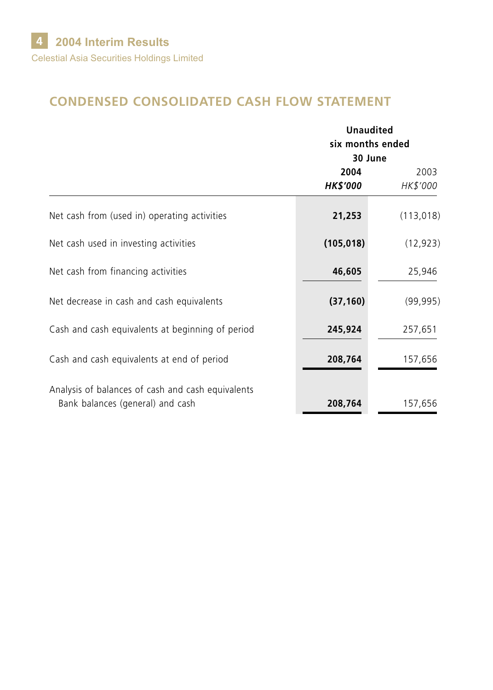# **CONDENSED CONSOLIDATED CASH FLOW STATEMENT**

|                                                                                       |                         | <b>Unaudited</b><br>six months ended<br>30 June |  |
|---------------------------------------------------------------------------------------|-------------------------|-------------------------------------------------|--|
|                                                                                       | 2004<br><b>HK\$'000</b> | 2003<br>HK\$'000                                |  |
| Net cash from (used in) operating activities                                          | 21,253                  | (113, 018)                                      |  |
| Net cash used in investing activities                                                 | (105, 018)              | (12, 923)                                       |  |
| Net cash from financing activities                                                    | 46,605                  | 25,946                                          |  |
| Net decrease in cash and cash equivalents                                             | (37, 160)               | (99, 995)                                       |  |
| Cash and cash equivalents at beginning of period                                      | 245,924                 | 257,651                                         |  |
| Cash and cash equivalents at end of period                                            | 208,764                 | 157,656                                         |  |
| Analysis of balances of cash and cash equivalents<br>Bank balances (general) and cash | 208,764                 | 157,656                                         |  |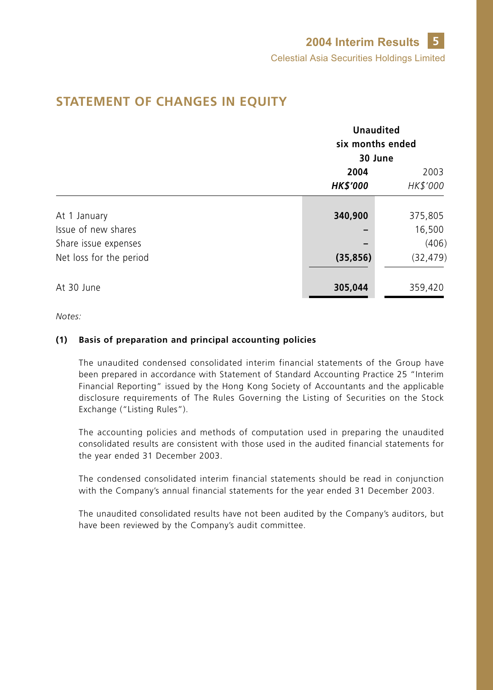|                                             |                         | <b>Unaudited</b><br>six months ended<br>30 June |  |  |
|---------------------------------------------|-------------------------|-------------------------------------------------|--|--|
|                                             | 2004<br><b>HK\$'000</b> | 2003<br>HK\$'000                                |  |  |
| At 1 January                                | 340,900                 | 375,805                                         |  |  |
| Issue of new shares<br>Share issue expenses |                         | 16,500<br>(406)                                 |  |  |
| Net loss for the period<br>At 30 June       | (35, 856)<br>305,044    | (32, 479)<br>359,420                            |  |  |

## **STATEMENT OF CHANGES IN EQUITY**

*Notes:*

#### **(1) Basis of preparation and principal accounting policies**

The unaudited condensed consolidated interim financial statements of the Group have been prepared in accordance with Statement of Standard Accounting Practice 25 "Interim Financial Reporting" issued by the Hong Kong Society of Accountants and the applicable disclosure requirements of The Rules Governing the Listing of Securities on the Stock Exchange ("Listing Rules").

The accounting policies and methods of computation used in preparing the unaudited consolidated results are consistent with those used in the audited financial statements for the year ended 31 December 2003.

The condensed consolidated interim financial statements should be read in conjunction with the Company's annual financial statements for the year ended 31 December 2003.

The unaudited consolidated results have not been audited by the Company's auditors, but have been reviewed by the Company's audit committee.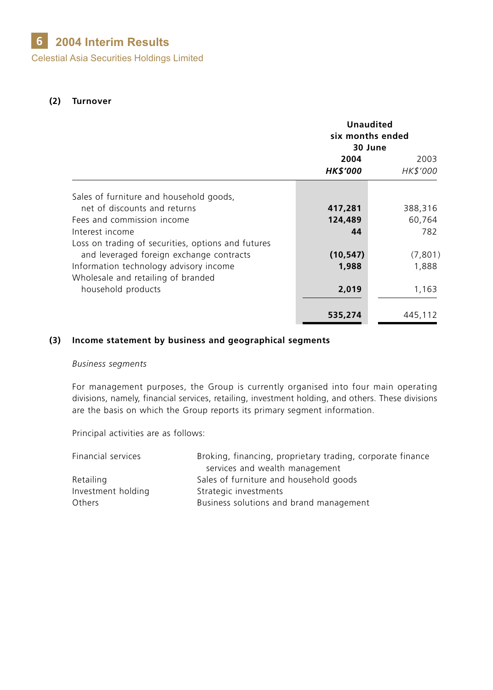#### **2004 Interim Results 6**

Celestial Asia Securities Holdings Limited

#### **(2) Turnover**

|                                                    | <b>Unaudited</b><br>six months ended<br>30 June |                  |
|----------------------------------------------------|-------------------------------------------------|------------------|
|                                                    | 2004<br><b>HK\$'000</b>                         | 2003<br>HK\$'000 |
| Sales of furniture and household goods,            |                                                 |                  |
| net of discounts and returns                       | 417,281                                         | 388,316          |
| Fees and commission income                         | 124,489                                         | 60,764           |
| Interest income                                    | 44                                              | 782              |
| Loss on trading of securities, options and futures |                                                 |                  |
| and leveraged foreign exchange contracts           | (10, 547)                                       | (7,801)          |
| Information technology advisory income             | 1,988                                           | 1,888            |
| Wholesale and retailing of branded                 |                                                 |                  |
| household products                                 | 2,019                                           | 1,163            |
|                                                    |                                                 |                  |
|                                                    | 535,274                                         | 445,112          |

#### **(3) Income statement by business and geographical segments**

#### *Business segments*

For management purposes, the Group is currently organised into four main operating divisions, namely, financial services, retailing, investment holding, and others. These divisions are the basis on which the Group reports its primary segment information.

Principal activities are as follows:

| Financial services | Broking, financing, proprietary trading, corporate finance |
|--------------------|------------------------------------------------------------|
|                    | services and wealth management                             |
| Retailing          | Sales of furniture and household goods                     |
| Investment holding | Strategic investments                                      |
| <b>Others</b>      | Business solutions and brand management                    |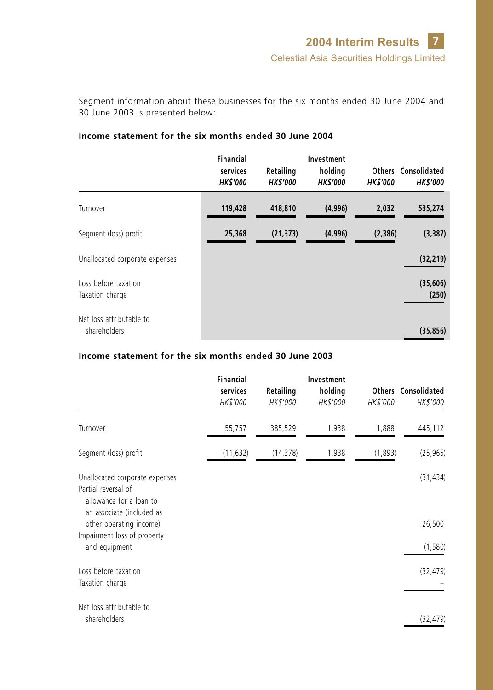Segment information about these businesses for the six months ended 30 June 2004 and 30 June 2003 is presented below:

|                                          | Financial<br>services<br><b>HK\$'000</b> | Retailing<br><b>HK\$'000</b> | Investment<br>holding<br><b>HK\$'000</b> | <b>HK\$'000</b> | Others Consolidated<br><b>HK\$'000</b> |
|------------------------------------------|------------------------------------------|------------------------------|------------------------------------------|-----------------|----------------------------------------|
| Turnover                                 | 119,428                                  | 418,810                      | (4,996)                                  | 2,032           | 535,274                                |
| Segment (loss) profit                    | 25,368                                   | (21, 373)                    | (4,996)                                  | (2,386)         | (3, 387)                               |
| Unallocated corporate expenses           |                                          |                              |                                          |                 | (32, 219)                              |
| Loss before taxation<br>Taxation charge  |                                          |                              |                                          |                 | (35,606)<br>(250)                      |
| Net loss attributable to<br>shareholders |                                          |                              |                                          |                 | (35, 856)                              |

#### **Income statement for the six months ended 30 June 2004**

### **Income statement for the six months ended 30 June 2003**

|                                                                             | <b>Financial</b><br>services<br>HK\$'000 | Retailing<br>HK\$'000 | Investment<br>holding<br>HK\$'000 | HK\$'000 | <b>Others Consolidated</b><br>HK\$'000 |
|-----------------------------------------------------------------------------|------------------------------------------|-----------------------|-----------------------------------|----------|----------------------------------------|
|                                                                             |                                          |                       |                                   |          |                                        |
| Turnover                                                                    | 55,757                                   | 385,529               | 1,938                             | 1,888    | 445,112                                |
| Segment (loss) profit                                                       | (11, 632)                                | (14, 378)             | 1,938                             | (1,893)  | (25, 965)                              |
| Unallocated corporate expenses                                              |                                          |                       |                                   |          | (31, 434)                              |
| Partial reversal of<br>allowance for a loan to<br>an associate (included as |                                          |                       |                                   |          |                                        |
| other operating income)                                                     |                                          |                       |                                   |          | 26,500                                 |
| Impairment loss of property<br>and equipment                                |                                          |                       |                                   |          | (1, 580)                               |
| Loss before taxation                                                        |                                          |                       |                                   |          | (32, 479)                              |
| Taxation charge                                                             |                                          |                       |                                   |          |                                        |
| Net loss attributable to                                                    |                                          |                       |                                   |          |                                        |
| shareholders                                                                |                                          |                       |                                   |          | (32, 479)                              |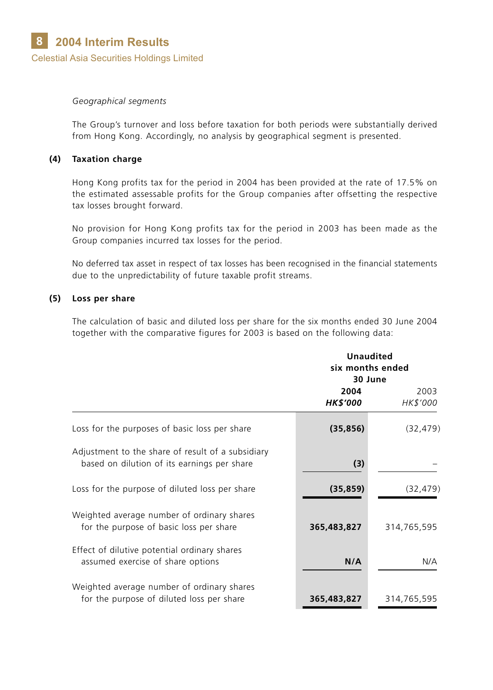#### *Geographical segments*

The Group's turnover and loss before taxation for both periods were substantially derived from Hong Kong. Accordingly, no analysis by geographical segment is presented.

#### **(4) Taxation charge**

Hong Kong profits tax for the period in 2004 has been provided at the rate of 17.5% on the estimated assessable profits for the Group companies after offsetting the respective tax losses brought forward.

No provision for Hong Kong profits tax for the period in 2003 has been made as the Group companies incurred tax losses for the period.

No deferred tax asset in respect of tax losses has been recognised in the financial statements due to the unpredictability of future taxable profit streams.

#### **(5) Loss per share**

The calculation of basic and diluted loss per share for the six months ended 30 June 2004 together with the comparative figures for 2003 is based on the following data:

|                                                                                                  | <b>Unaudited</b><br>six months ended<br>30 June |                  |
|--------------------------------------------------------------------------------------------------|-------------------------------------------------|------------------|
|                                                                                                  | 2004<br><b>HK\$'000</b>                         | 2003<br>HK\$'000 |
| Loss for the purposes of basic loss per share                                                    | (35, 856)                                       | (32, 479)        |
| Adjustment to the share of result of a subsidiary<br>based on dilution of its earnings per share | (3)                                             |                  |
| Loss for the purpose of diluted loss per share                                                   | (35, 859)                                       | (32, 479)        |
| Weighted average number of ordinary shares<br>for the purpose of basic loss per share            | 365,483,827                                     | 314,765,595      |
| Effect of dilutive potential ordinary shares<br>assumed exercise of share options                | N/A                                             | N/A              |
| Weighted average number of ordinary shares<br>for the purpose of diluted loss per share          | 365,483,827                                     | 314,765,595      |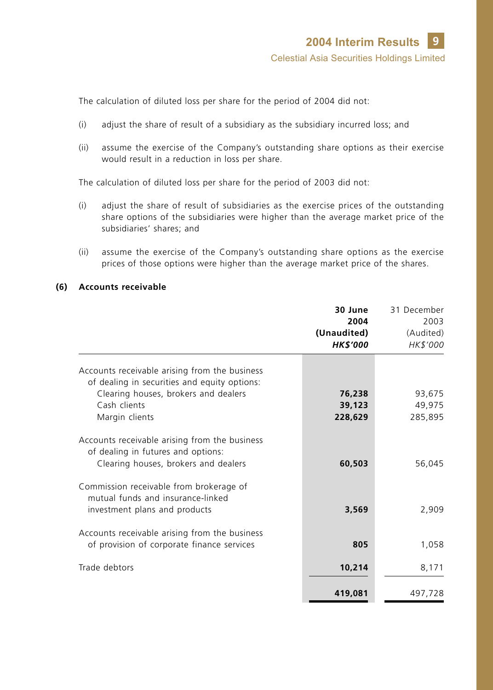The calculation of diluted loss per share for the period of 2004 did not:

- (i) adjust the share of result of a subsidiary as the subsidiary incurred loss; and
- (ii) assume the exercise of the Company's outstanding share options as their exercise would result in a reduction in loss per share.

The calculation of diluted loss per share for the period of 2003 did not:

- (i) adjust the share of result of subsidiaries as the exercise prices of the outstanding share options of the subsidiaries were higher than the average market price of the subsidiaries' shares; and
- (ii) assume the exercise of the Company's outstanding share options as the exercise prices of those options were higher than the average market price of the shares.

#### **(6) Accounts receivable**

|                                                                                                                             | 30 June<br>2004<br>(Unaudited)<br><b>HK\$'000</b> | 31 December<br>2003<br>(Audited)<br>HK\$'000 |
|-----------------------------------------------------------------------------------------------------------------------------|---------------------------------------------------|----------------------------------------------|
| Accounts receivable arising from the business                                                                               |                                                   |                                              |
| of dealing in securities and equity options:                                                                                |                                                   |                                              |
| Clearing houses, brokers and dealers                                                                                        | 76,238                                            | 93,675                                       |
| Cash clients                                                                                                                | 39,123                                            | 49,975                                       |
| Margin clients                                                                                                              | 228,629                                           | 285,895                                      |
| Accounts receivable arising from the business<br>of dealing in futures and options:<br>Clearing houses, brokers and dealers | 60,503                                            | 56,045                                       |
| Commission receivable from brokerage of<br>mutual funds and insurance-linked<br>investment plans and products               | 3,569                                             | 2,909                                        |
| Accounts receivable arising from the business<br>of provision of corporate finance services                                 | 805                                               | 1,058                                        |
| Trade debtors                                                                                                               | 10,214                                            | 8,171                                        |
|                                                                                                                             | 419,081                                           | 497,728                                      |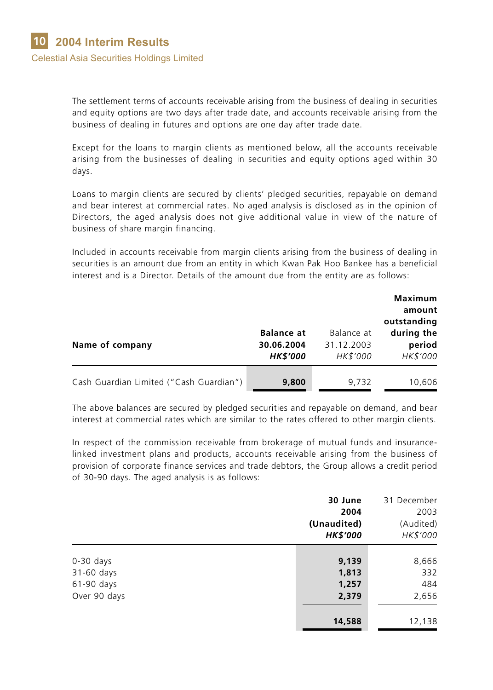The settlement terms of accounts receivable arising from the business of dealing in securities and equity options are two days after trade date, and accounts receivable arising from the business of dealing in futures and options are one day after trade date.

Except for the loans to margin clients as mentioned below, all the accounts receivable arising from the businesses of dealing in securities and equity options aged within 30 days.

Loans to margin clients are secured by clients' pledged securities, repayable on demand and bear interest at commercial rates. No aged analysis is disclosed as in the opinion of Directors, the aged analysis does not give additional value in view of the nature of business of share margin financing.

Included in accounts receivable from margin clients arising from the business of dealing in securities is an amount due from an entity in which Kwan Pak Hoo Bankee has a beneficial interest and is a Director. Details of the amount due from the entity are as follows:

|                                         |                                                    |                                      | Maximum<br>amount<br>outstanding |
|-----------------------------------------|----------------------------------------------------|--------------------------------------|----------------------------------|
| Name of company                         | <b>Balance at</b><br>30.06.2004<br><b>HK\$'000</b> | Balance at<br>31.12.2003<br>HK\$'000 | during the<br>period<br>HK\$'000 |
| Cash Guardian Limited ("Cash Guardian") | 9,800                                              | 9.732                                | 10,606                           |

The above balances are secured by pledged securities and repayable on demand, and bear interest at commercial rates which are similar to the rates offered to other margin clients.

In respect of the commission receivable from brokerage of mutual funds and insurancelinked investment plans and products, accounts receivable arising from the business of provision of corporate finance services and trade debtors, the Group allows a credit period of 30-90 days. The aged analysis is as follows:

|              | 30 June<br>2004<br>(Unaudited)<br><b>HK\$'000</b> | 31 December<br>2003<br>(Audited)<br>HK\$'000 |
|--------------|---------------------------------------------------|----------------------------------------------|
|              |                                                   |                                              |
| $0-30$ days  | 9,139                                             | 8,666                                        |
| 31-60 days   | 1,813                                             | 332                                          |
| 61-90 days   | 1,257                                             | 484                                          |
| Over 90 days | 2,379                                             | 2,656                                        |
|              | 14,588                                            | 12,138                                       |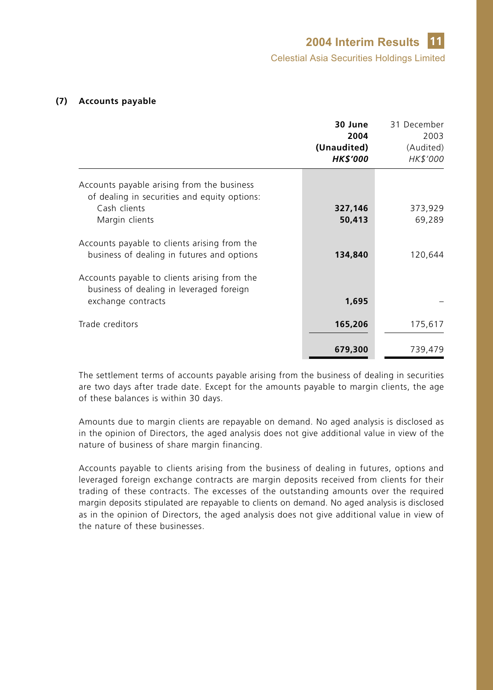#### **(7) Accounts payable**

|                                                                                                                              | 30 June<br>2004<br>(Unaudited)<br><b>HK\$'000</b> | 31 December<br>2003<br>(Audited)<br>HK\$'000 |
|------------------------------------------------------------------------------------------------------------------------------|---------------------------------------------------|----------------------------------------------|
| Accounts payable arising from the business<br>of dealing in securities and equity options:<br>Cash clients<br>Margin clients | 327,146<br>50,413                                 | 373,929<br>69,289                            |
| Accounts payable to clients arising from the<br>business of dealing in futures and options                                   | 134,840                                           | 120,644                                      |
| Accounts payable to clients arising from the<br>business of dealing in leveraged foreign<br>exchange contracts               | 1,695                                             |                                              |
| Trade creditors                                                                                                              | 165,206                                           | 175,617                                      |
|                                                                                                                              | 679,300                                           | 739,479                                      |

The settlement terms of accounts payable arising from the business of dealing in securities are two days after trade date. Except for the amounts payable to margin clients, the age of these balances is within 30 days.

Amounts due to margin clients are repayable on demand. No aged analysis is disclosed as in the opinion of Directors, the aged analysis does not give additional value in view of the nature of business of share margin financing.

Accounts payable to clients arising from the business of dealing in futures, options and leveraged foreign exchange contracts are margin deposits received from clients for their trading of these contracts. The excesses of the outstanding amounts over the required margin deposits stipulated are repayable to clients on demand. No aged analysis is disclosed as in the opinion of Directors, the aged analysis does not give additional value in view of the nature of these businesses.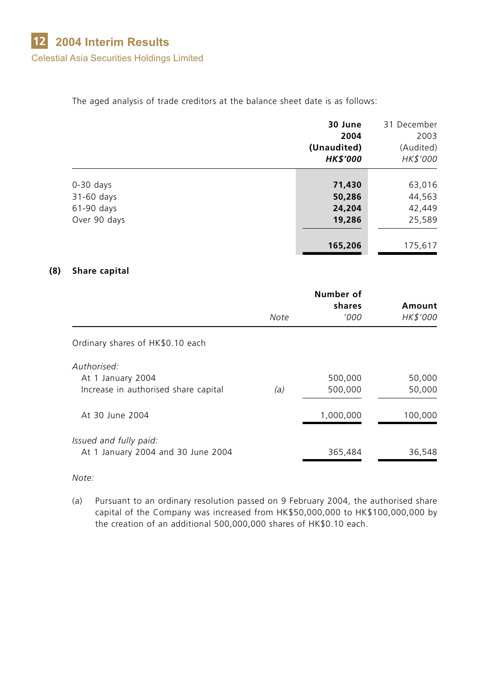The aged analysis of trade creditors at the balance sheet date is as follows:

|              | 30 June         | 31 December |
|--------------|-----------------|-------------|
|              | 2004            | 2003        |
|              | (Unaudited)     | (Audited)   |
|              | <b>HK\$'000</b> | HK\$'000    |
|              |                 |             |
| $0-30$ days  | 71,430          | 63,016      |
| 31-60 days   | 50,286          | 44,563      |
| $61-90$ days | 24,204          | 42,449      |
| Over 90 days | 19,286          | 25,589      |
|              | 165,206         | 175,617     |

#### **(8) Share capital**

|                                                              |      | Number of<br>shares | Amount   |  |  |
|--------------------------------------------------------------|------|---------------------|----------|--|--|
|                                                              | Note | '000                | HK\$'000 |  |  |
| Ordinary shares of HK\$0.10 each                             |      |                     |          |  |  |
| Authorised:<br>At 1 January 2004                             |      | 500,000             | 50,000   |  |  |
| Increase in authorised share capital                         | (a)  | 500,000             | 50,000   |  |  |
| At 30 June 2004                                              |      | 1,000,000           | 100,000  |  |  |
| Issued and fully paid:<br>At 1 January 2004 and 30 June 2004 |      | 365,484             | 36,548   |  |  |

*Note:*

(a) Pursuant to an ordinary resolution passed on 9 February 2004, the authorised share capital of the Company was increased from HK\$50,000,000 to HK\$100,000,000 by the creation of an additional 500,000,000 shares of HK\$0.10 each.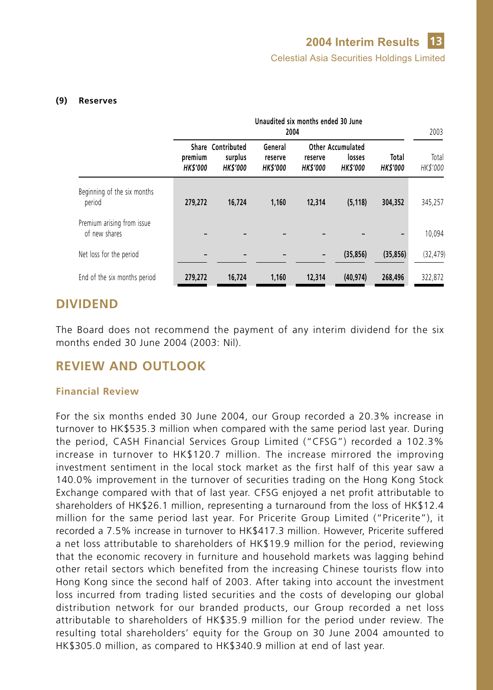#### **(9) Reserves**

|                                             |                            |                                                | Unaudited six months ended 30 June<br>2004 |                           |                                                      |                         | 2003              |
|---------------------------------------------|----------------------------|------------------------------------------------|--------------------------------------------|---------------------------|------------------------------------------------------|-------------------------|-------------------|
|                                             | premium<br><b>HK\$'000</b> | Share Contributed<br>surplus<br><b>HKS'000</b> | General<br>reserve<br><b>HKS'000</b>       | reserve<br><b>HKS'000</b> | <b>Other Accumulated</b><br>losses<br><b>HKS'000</b> | Total<br><b>HKS'000</b> | Total<br>HK\$'000 |
| Beginning of the six months<br>period       | 279,272                    | 16,724                                         | 1,160                                      | 12,314                    | (5, 118)                                             | 304,352                 | 345,257           |
| Premium arising from issue<br>of new shares |                            |                                                |                                            |                           |                                                      |                         | 10,094            |
| Net loss for the period                     |                            |                                                |                                            |                           | (35, 856)                                            | (35, 856)               | (32, 479)         |
| End of the six months period                | 279,272                    | 16,724                                         | 1,160                                      | 12,314                    | (40, 974)                                            | 268,496                 | 322.872           |

## **DIVIDEND**

The Board does not recommend the payment of any interim dividend for the six months ended 30 June 2004 (2003: Nil).

# **REVIEW AND OUTLOOK**

#### **Financial Review**

For the six months ended 30 June 2004, our Group recorded a 20.3% increase in turnover to HK\$535.3 million when compared with the same period last year. During the period, CASH Financial Services Group Limited ("CFSG") recorded a 102.3% increase in turnover to HK\$120.7 million. The increase mirrored the improving investment sentiment in the local stock market as the first half of this year saw a 140.0% improvement in the turnover of securities trading on the Hong Kong Stock Exchange compared with that of last year. CFSG enjoyed a net profit attributable to shareholders of HK\$26.1 million, representing a turnaround from the loss of HK\$12.4 million for the same period last year. For Pricerite Group Limited ("Pricerite"), it recorded a 7.5% increase in turnover to HK\$417.3 million. However, Pricerite suffered a net loss attributable to shareholders of HK\$19.9 million for the period, reviewing that the economic recovery in furniture and household markets was lagging behind other retail sectors which benefited from the increasing Chinese tourists flow into Hong Kong since the second half of 2003. After taking into account the investment loss incurred from trading listed securities and the costs of developing our global distribution network for our branded products, our Group recorded a net loss attributable to shareholders of HK\$35.9 million for the period under review. The resulting total shareholders' equity for the Group on 30 June 2004 amounted to HK\$305.0 million, as compared to HK\$340.9 million at end of last year.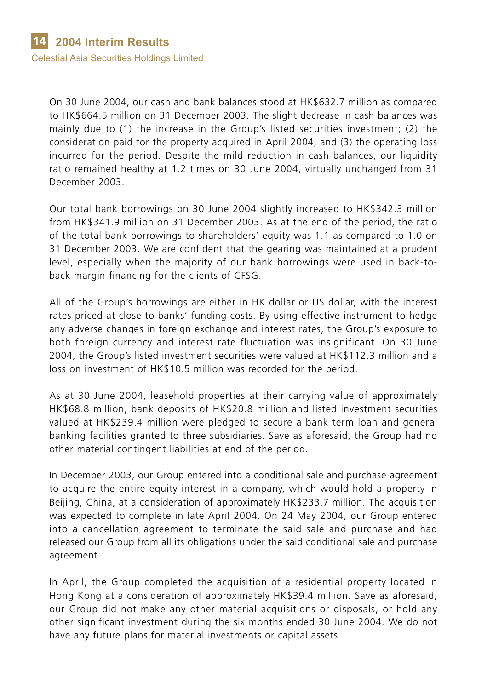On 30 June 2004, our cash and bank balances stood at HK\$632.7 million as compared to HK\$664.5 million on 31 December 2003. The slight decrease in cash balances was mainly due to (1) the increase in the Group's listed securities investment; (2) the consideration paid for the property acquired in April 2004; and (3) the operating loss incurred for the period. Despite the mild reduction in cash balances, our liquidity ratio remained healthy at 1.2 times on 30 June 2004, virtually unchanged from 31 December 2003.

Our total bank borrowings on 30 June 2004 slightly increased to HK\$342.3 million from HK\$341.9 million on 31 December 2003. As at the end of the period, the ratio of the total bank borrowings to shareholders' equity was 1.1 as compared to 1.0 on 31 December 2003. We are confident that the gearing was maintained at a prudent level, especially when the majority of our bank borrowings were used in back-toback margin financing for the clients of CFSG.

All of the Group's borrowings are either in HK dollar or US dollar, with the interest rates priced at close to banks' funding costs. By using effective instrument to hedge any adverse changes in foreign exchange and interest rates, the Group's exposure to both foreign currency and interest rate fluctuation was insignificant. On 30 June 2004, the Group's listed investment securities were valued at HK\$112.3 million and a loss on investment of HK\$10.5 million was recorded for the period.

As at 30 June 2004, leasehold properties at their carrying value of approximately HK\$68.8 million, bank deposits of HK\$20.8 million and listed investment securities valued at HK\$239.4 million were pledged to secure a bank term loan and general banking facilities granted to three subsidiaries. Save as aforesaid, the Group had no other material contingent liabilities at end of the period.

In December 2003, our Group entered into a conditional sale and purchase agreement to acquire the entire equity interest in a company, which would hold a property in Beijing, China, at a consideration of approximately HK\$233.7 million. The acquisition was expected to complete in late April 2004. On 24 May 2004, our Group entered into a cancellation agreement to terminate the said sale and purchase and had released our Group from all its obligations under the said conditional sale and purchase agreement.

In April, the Group completed the acquisition of a residential property located in Hong Kong at a consideration of approximately HK\$39.4 million. Save as aforesaid, our Group did not make any other material acquisitions or disposals, or hold any other significant investment during the six months ended 30 June 2004. We do not have any future plans for material investments or capital assets.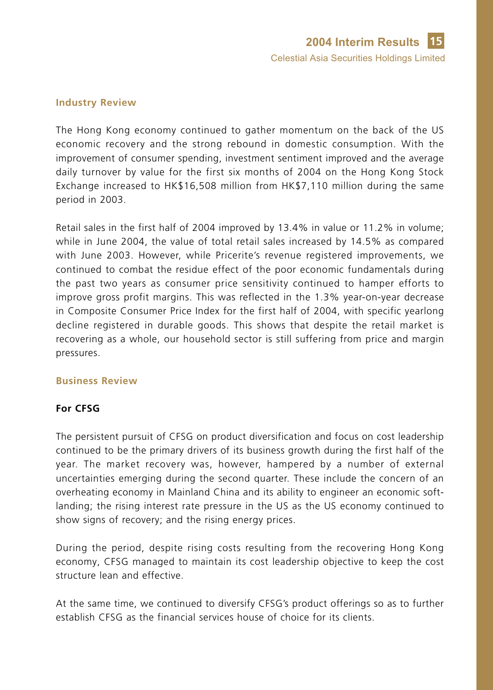#### **Industry Review**

The Hong Kong economy continued to gather momentum on the back of the US economic recovery and the strong rebound in domestic consumption. With the improvement of consumer spending, investment sentiment improved and the average daily turnover by value for the first six months of 2004 on the Hong Kong Stock Exchange increased to HK\$16,508 million from HK\$7,110 million during the same period in 2003.

Retail sales in the first half of 2004 improved by 13.4% in value or 11.2% in volume; while in June 2004, the value of total retail sales increased by 14.5% as compared with June 2003. However, while Pricerite's revenue registered improvements, we continued to combat the residue effect of the poor economic fundamentals during the past two years as consumer price sensitivity continued to hamper efforts to improve gross profit margins. This was reflected in the 1.3% year-on-year decrease in Composite Consumer Price Index for the first half of 2004, with specific yearlong decline registered in durable goods. This shows that despite the retail market is recovering as a whole, our household sector is still suffering from price and margin pressures.

#### **Business Review**

### **For CFSG**

The persistent pursuit of CFSG on product diversification and focus on cost leadership continued to be the primary drivers of its business growth during the first half of the year. The market recovery was, however, hampered by a number of external uncertainties emerging during the second quarter. These include the concern of an overheating economy in Mainland China and its ability to engineer an economic softlanding; the rising interest rate pressure in the US as the US economy continued to show signs of recovery; and the rising energy prices.

During the period, despite rising costs resulting from the recovering Hong Kong economy, CFSG managed to maintain its cost leadership objective to keep the cost structure lean and effective.

At the same time, we continued to diversify CFSG's product offerings so as to further establish CFSG as the financial services house of choice for its clients.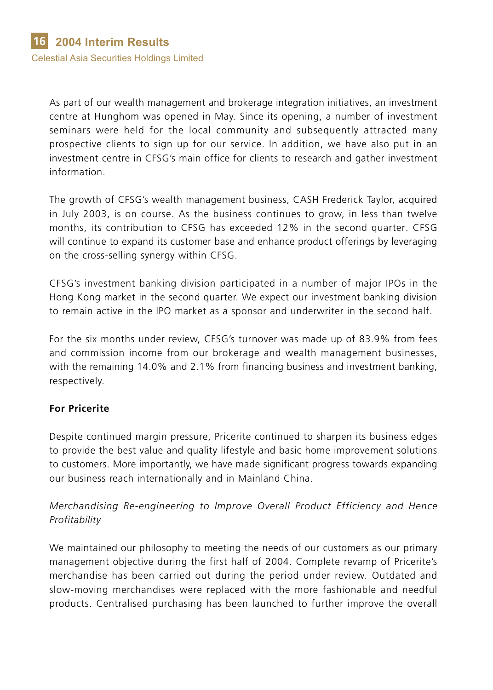As part of our wealth management and brokerage integration initiatives, an investment centre at Hunghom was opened in May. Since its opening, a number of investment seminars were held for the local community and subsequently attracted many prospective clients to sign up for our service. In addition, we have also put in an investment centre in CFSG's main office for clients to research and gather investment information.

The growth of CFSG's wealth management business, CASH Frederick Taylor, acquired in July 2003, is on course. As the business continues to grow, in less than twelve months, its contribution to CFSG has exceeded 12% in the second quarter. CFSG will continue to expand its customer base and enhance product offerings by leveraging on the cross-selling synergy within CFSG.

CFSG's investment banking division participated in a number of major IPOs in the Hong Kong market in the second quarter. We expect our investment banking division to remain active in the IPO market as a sponsor and underwriter in the second half.

For the six months under review, CFSG's turnover was made up of 83.9% from fees and commission income from our brokerage and wealth management businesses, with the remaining 14.0% and 2.1% from financing business and investment banking, respectively.

## **For Pricerite**

Despite continued margin pressure, Pricerite continued to sharpen its business edges to provide the best value and quality lifestyle and basic home improvement solutions to customers. More importantly, we have made significant progress towards expanding our business reach internationally and in Mainland China.

## *Merchandising Re-engineering to Improve Overall Product Efficiency and Hence Profitability*

We maintained our philosophy to meeting the needs of our customers as our primary management objective during the first half of 2004. Complete revamp of Pricerite's merchandise has been carried out during the period under review. Outdated and slow-moving merchandises were replaced with the more fashionable and needful products. Centralised purchasing has been launched to further improve the overall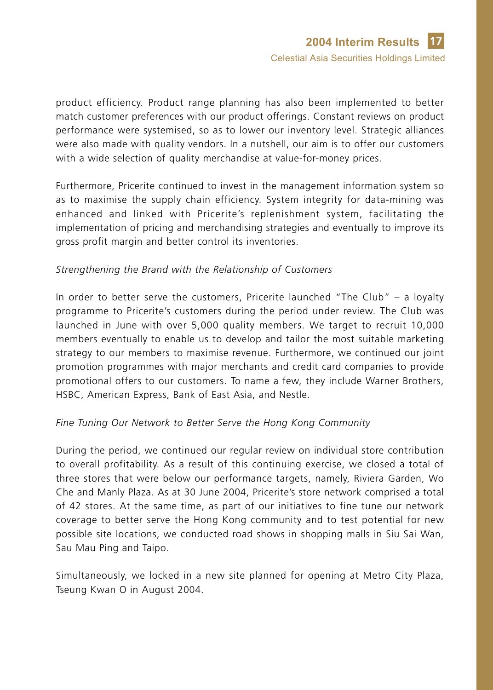product efficiency. Product range planning has also been implemented to better match customer preferences with our product offerings. Constant reviews on product performance were systemised, so as to lower our inventory level. Strategic alliances were also made with quality vendors. In a nutshell, our aim is to offer our customers with a wide selection of quality merchandise at value-for-money prices.

Furthermore, Pricerite continued to invest in the management information system so as to maximise the supply chain efficiency. System integrity for data-mining was enhanced and linked with Pricerite's replenishment system, facilitating the implementation of pricing and merchandising strategies and eventually to improve its gross profit margin and better control its inventories.

### *Strengthening the Brand with the Relationship of Customers*

In order to better serve the customers, Pricerite launched "The Club" – a loyalty programme to Pricerite's customers during the period under review. The Club was launched in June with over 5,000 quality members. We target to recruit 10,000 members eventually to enable us to develop and tailor the most suitable marketing strategy to our members to maximise revenue. Furthermore, we continued our joint promotion programmes with major merchants and credit card companies to provide promotional offers to our customers. To name a few, they include Warner Brothers, HSBC, American Express, Bank of East Asia, and Nestle.

#### *Fine Tuning Our Network to Better Serve the Hong Kong Community*

During the period, we continued our regular review on individual store contribution to overall profitability. As a result of this continuing exercise, we closed a total of three stores that were below our performance targets, namely, Riviera Garden, Wo Che and Manly Plaza. As at 30 June 2004, Pricerite's store network comprised a total of 42 stores. At the same time, as part of our initiatives to fine tune our network coverage to better serve the Hong Kong community and to test potential for new possible site locations, we conducted road shows in shopping malls in Siu Sai Wan, Sau Mau Ping and Taipo.

Simultaneously, we locked in a new site planned for opening at Metro City Plaza, Tseung Kwan O in August 2004.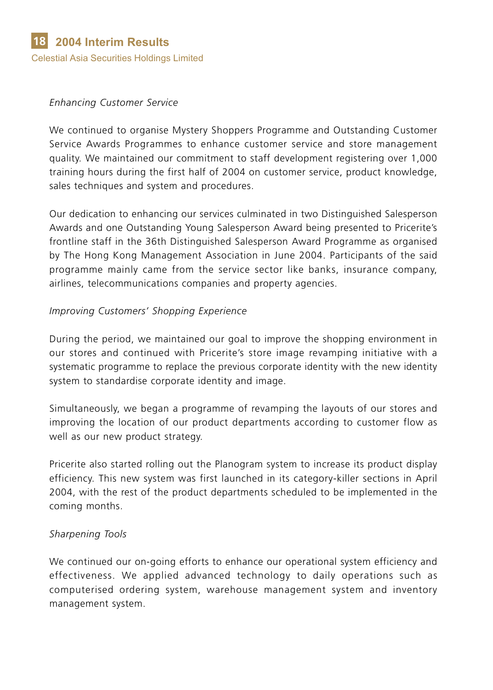#### *Enhancing Customer Service*

We continued to organise Mystery Shoppers Programme and Outstanding Customer Service Awards Programmes to enhance customer service and store management quality. We maintained our commitment to staff development registering over 1,000 training hours during the first half of 2004 on customer service, product knowledge, sales techniques and system and procedures.

Our dedication to enhancing our services culminated in two Distinguished Salesperson Awards and one Outstanding Young Salesperson Award being presented to Pricerite's frontline staff in the 36th Distinguished Salesperson Award Programme as organised by The Hong Kong Management Association in June 2004. Participants of the said programme mainly came from the service sector like banks, insurance company, airlines, telecommunications companies and property agencies.

### *Improving Customers' Shopping Experience*

During the period, we maintained our goal to improve the shopping environment in our stores and continued with Pricerite's store image revamping initiative with a systematic programme to replace the previous corporate identity with the new identity system to standardise corporate identity and image.

Simultaneously, we began a programme of revamping the layouts of our stores and improving the location of our product departments according to customer flow as well as our new product strategy.

Pricerite also started rolling out the Planogram system to increase its product display efficiency. This new system was first launched in its category-killer sections in April 2004, with the rest of the product departments scheduled to be implemented in the coming months.

### *Sharpening Tools*

We continued our on-going efforts to enhance our operational system efficiency and effectiveness. We applied advanced technology to daily operations such as computerised ordering system, warehouse management system and inventory management system.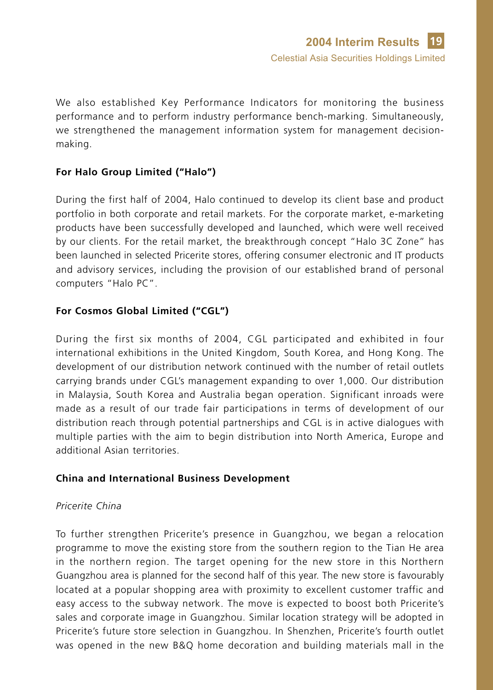We also established Key Performance Indicators for monitoring the business performance and to perform industry performance bench-marking. Simultaneously, we strengthened the management information system for management decisionmaking.

## **For Halo Group Limited ("Halo")**

During the first half of 2004, Halo continued to develop its client base and product portfolio in both corporate and retail markets. For the corporate market, e-marketing products have been successfully developed and launched, which were well received by our clients. For the retail market, the breakthrough concept "Halo 3C Zone" has been launched in selected Pricerite stores, offering consumer electronic and IT products and advisory services, including the provision of our established brand of personal computers "Halo PC".

## **For Cosmos Global Limited ("CGL")**

During the first six months of 2004, CGL participated and exhibited in four international exhibitions in the United Kingdom, South Korea, and Hong Kong. The development of our distribution network continued with the number of retail outlets carrying brands under CGL's management expanding to over 1,000. Our distribution in Malaysia, South Korea and Australia began operation. Significant inroads were made as a result of our trade fair participations in terms of development of our distribution reach through potential partnerships and CGL is in active dialogues with multiple parties with the aim to begin distribution into North America, Europe and additional Asian territories.

### **China and International Business Development**

#### *Pricerite China*

To further strengthen Pricerite's presence in Guangzhou, we began a relocation programme to move the existing store from the southern region to the Tian He area in the northern region. The target opening for the new store in this Northern Guangzhou area is planned for the second half of this year. The new store is favourably located at a popular shopping area with proximity to excellent customer traffic and easy access to the subway network. The move is expected to boost both Pricerite's sales and corporate image in Guangzhou. Similar location strategy will be adopted in Pricerite's future store selection in Guangzhou. In Shenzhen, Pricerite's fourth outlet was opened in the new B&Q home decoration and building materials mall in the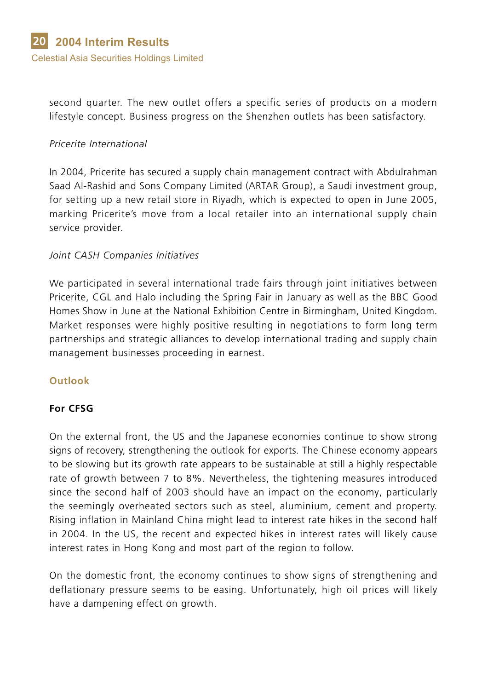second quarter. The new outlet offers a specific series of products on a modern lifestyle concept. Business progress on the Shenzhen outlets has been satisfactory.

### *Pricerite International*

In 2004, Pricerite has secured a supply chain management contract with Abdulrahman Saad Al-Rashid and Sons Company Limited (ARTAR Group), a Saudi investment group, for setting up a new retail store in Riyadh, which is expected to open in June 2005, marking Pricerite's move from a local retailer into an international supply chain service provider.

### *Joint CASH Companies Initiatives*

We participated in several international trade fairs through joint initiatives between Pricerite, CGL and Halo including the Spring Fair in January as well as the BBC Good Homes Show in June at the National Exhibition Centre in Birmingham, United Kingdom. Market responses were highly positive resulting in negotiations to form long term partnerships and strategic alliances to develop international trading and supply chain management businesses proceeding in earnest.

### **Outlook**

### **For CFSG**

On the external front, the US and the Japanese economies continue to show strong signs of recovery, strengthening the outlook for exports. The Chinese economy appears to be slowing but its growth rate appears to be sustainable at still a highly respectable rate of growth between 7 to 8%. Nevertheless, the tightening measures introduced since the second half of 2003 should have an impact on the economy, particularly the seemingly overheated sectors such as steel, aluminium, cement and property. Rising inflation in Mainland China might lead to interest rate hikes in the second half in 2004. In the US, the recent and expected hikes in interest rates will likely cause interest rates in Hong Kong and most part of the region to follow.

On the domestic front, the economy continues to show signs of strengthening and deflationary pressure seems to be easing. Unfortunately, high oil prices will likely have a dampening effect on growth.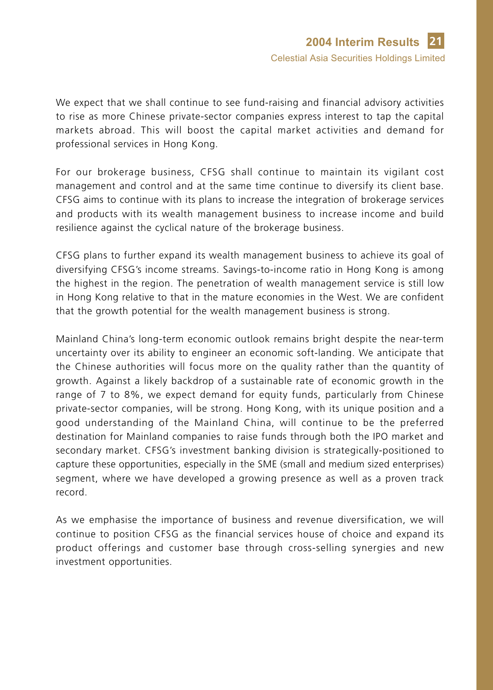We expect that we shall continue to see fund-raising and financial advisory activities to rise as more Chinese private-sector companies express interest to tap the capital markets abroad. This will boost the capital market activities and demand for professional services in Hong Kong.

For our brokerage business, CFSG shall continue to maintain its vigilant cost management and control and at the same time continue to diversify its client base. CFSG aims to continue with its plans to increase the integration of brokerage services and products with its wealth management business to increase income and build resilience against the cyclical nature of the brokerage business.

CFSG plans to further expand its wealth management business to achieve its goal of diversifying CFSG's income streams. Savings-to-income ratio in Hong Kong is among the highest in the region. The penetration of wealth management service is still low in Hong Kong relative to that in the mature economies in the West. We are confident that the growth potential for the wealth management business is strong.

Mainland China's long-term economic outlook remains bright despite the near-term uncertainty over its ability to engineer an economic soft-landing. We anticipate that the Chinese authorities will focus more on the quality rather than the quantity of growth. Against a likely backdrop of a sustainable rate of economic growth in the range of 7 to 8%, we expect demand for equity funds, particularly from Chinese private-sector companies, will be strong. Hong Kong, with its unique position and a good understanding of the Mainland China, will continue to be the preferred destination for Mainland companies to raise funds through both the IPO market and secondary market. CFSG's investment banking division is strategically-positioned to capture these opportunities, especially in the SME (small and medium sized enterprises) segment, where we have developed a growing presence as well as a proven track record.

As we emphasise the importance of business and revenue diversification, we will continue to position CFSG as the financial services house of choice and expand its product offerings and customer base through cross-selling synergies and new investment opportunities.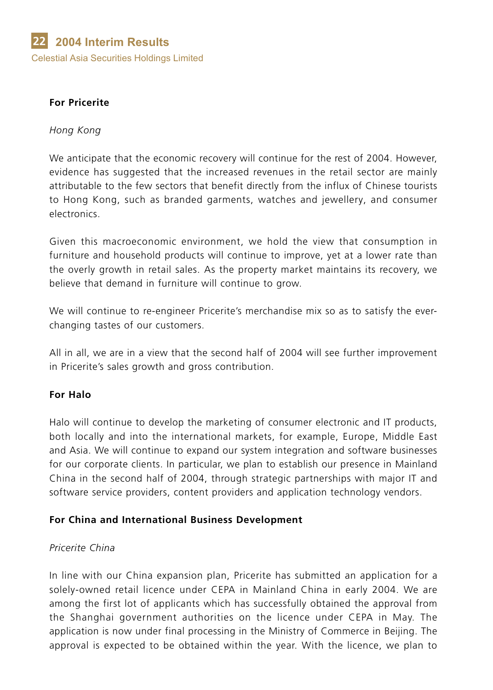### **For Pricerite**

#### *Hong Kong*

We anticipate that the economic recovery will continue for the rest of 2004. However, evidence has suggested that the increased revenues in the retail sector are mainly attributable to the few sectors that benefit directly from the influx of Chinese tourists to Hong Kong, such as branded garments, watches and jewellery, and consumer electronics.

Given this macroeconomic environment, we hold the view that consumption in furniture and household products will continue to improve, yet at a lower rate than the overly growth in retail sales. As the property market maintains its recovery, we believe that demand in furniture will continue to grow.

We will continue to re-engineer Pricerite's merchandise mix so as to satisfy the everchanging tastes of our customers.

All in all, we are in a view that the second half of 2004 will see further improvement in Pricerite's sales growth and gross contribution.

### **For Halo**

Halo will continue to develop the marketing of consumer electronic and IT products, both locally and into the international markets, for example, Europe, Middle East and Asia. We will continue to expand our system integration and software businesses for our corporate clients. In particular, we plan to establish our presence in Mainland China in the second half of 2004, through strategic partnerships with major IT and software service providers, content providers and application technology vendors.

### **For China and International Business Development**

#### *Pricerite China*

In line with our China expansion plan, Pricerite has submitted an application for a solely-owned retail licence under CEPA in Mainland China in early 2004. We are among the first lot of applicants which has successfully obtained the approval from the Shanghai government authorities on the licence under CEPA in May. The application is now under final processing in the Ministry of Commerce in Beijing. The approval is expected to be obtained within the year. With the licence, we plan to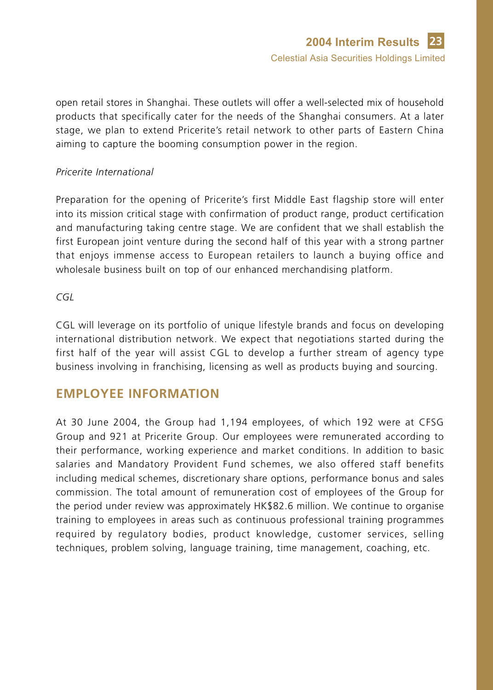open retail stores in Shanghai. These outlets will offer a well-selected mix of household products that specifically cater for the needs of the Shanghai consumers. At a later stage, we plan to extend Pricerite's retail network to other parts of Eastern China aiming to capture the booming consumption power in the region.

### *Pricerite International*

Preparation for the opening of Pricerite's first Middle East flagship store will enter into its mission critical stage with confirmation of product range, product certification and manufacturing taking centre stage. We are confident that we shall establish the first European joint venture during the second half of this year with a strong partner that enjoys immense access to European retailers to launch a buying office and wholesale business built on top of our enhanced merchandising platform.

#### *CGL*

CGL will leverage on its portfolio of unique lifestyle brands and focus on developing international distribution network. We expect that negotiations started during the first half of the year will assist CGL to develop a further stream of agency type business involving in franchising, licensing as well as products buying and sourcing.

# **EMPLOYEE INFORMATION**

At 30 June 2004, the Group had 1,194 employees, of which 192 were at CFSG Group and 921 at Pricerite Group. Our employees were remunerated according to their performance, working experience and market conditions. In addition to basic salaries and Mandatory Provident Fund schemes, we also offered staff benefits including medical schemes, discretionary share options, performance bonus and sales commission. The total amount of remuneration cost of employees of the Group for the period under review was approximately HK\$82.6 million. We continue to organise training to employees in areas such as continuous professional training programmes required by regulatory bodies, product knowledge, customer services, selling techniques, problem solving, language training, time management, coaching, etc.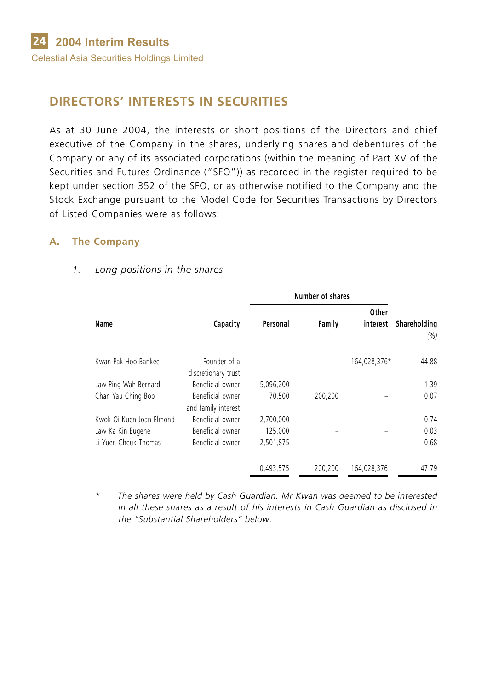# **DIRECTORS' INTERESTS IN SECURITIES**

As at 30 June 2004, the interests or short positions of the Directors and chief executive of the Company in the shares, underlying shares and debentures of the Company or any of its associated corporations (within the meaning of Part XV of the Securities and Futures Ordinance ("SFO")) as recorded in the register required to be kept under section 352 of the SFO, or as otherwise notified to the Company and the Stock Exchange pursuant to the Model Code for Securities Transactions by Directors of Listed Companies were as follows:

### **A. The Company**

# **Number of shares Other Name Capacity Personal Family interest Shareholding** Kwan Pak Hoo Bankee Founder of a  $-$  164,028,376\* 44.88 discretionary trust Law Ping Wah Bernard Beneficial owner 5,096,200 – – 1.39 Chan Yau Ching Bob Beneficial owner 70,500 200,200 – 0.07 and family interest Kwok Oi Kuen Joan Elmond Beneficial owner 2,700,000 – – 0.74 Law Ka Kin Eugene Beneficial owner 125,000 – – 0.03 Li Yuen Cheuk Thomas Beneficial owner 2,501,875 – – 0.68 10,493,575 200,200 164,028,376 47.79

*(%)*

#### *1. Long positions in the shares*

*\* The shares were held by Cash Guardian. Mr Kwan was deemed to be interested in all these shares as a result of his interests in Cash Guardian as disclosed in the "Substantial Shareholders" below.*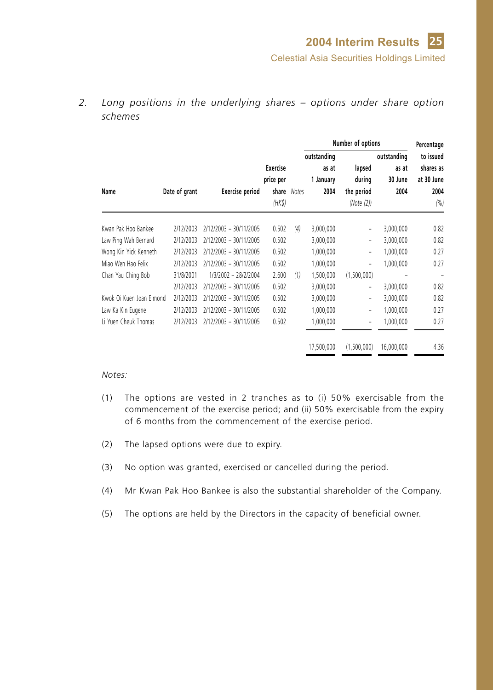*2. Long positions in the underlying shares – options under share option schemes*

|                          |               |                        |                 |              | Number of options |             | Percentage |            |
|--------------------------|---------------|------------------------|-----------------|--------------|-------------------|-------------|------------|------------|
|                          |               |                        |                 |              | outstanding       | outstanding |            | to issued  |
|                          |               |                        | <b>Exercise</b> |              | as at             | lapsed      | as at      | shares as  |
|                          |               |                        | price per       |              | 1 January         | during      | 30 June    | at 30 June |
| Name                     | Date of grant | <b>Exercise period</b> | share           | <b>Notes</b> | 2004              | the period  | 2004       | 2004       |
|                          |               |                        | $(HK\$          |              |                   | (Note (2))  |            | (%)        |
| Kwan Pak Hoo Bankee      | 2/12/2003     | 2/12/2003 - 30/11/2005 | 0.502           | (4)          | 3,000,000         | -           | 3,000,000  | 0.82       |
| Law Ping Wah Bernard     | 2/12/2003     | 2/12/2003 - 30/11/2005 | 0.502           |              | 3,000,000         | -           | 3,000,000  | 0.82       |
| Wong Kin Yick Kenneth    | 2/12/2003     | 2/12/2003 - 30/11/2005 | 0.502           |              | 1,000,000         | -           | 1,000,000  | 0.27       |
| Miao Wen Hao Felix       | 2/12/2003     | 2/12/2003 - 30/11/2005 | 0.502           |              | 1,000,000         | -           | 1,000,000  | 0.27       |
| Chan Yau Ching Bob       | 31/8/2001     | 1/3/2002 - 28/2/2004   | 2.600           | (1)          | 1,500,000         | (1,500,000) |            |            |
|                          | 2/12/2003     | 2/12/2003 - 30/11/2005 | 0.502           |              | 3,000,000         | -           | 3,000,000  | 0.82       |
| Kwok Oi Kuen Joan Elmond | 2/12/2003     | 2/12/2003 - 30/11/2005 | 0.502           |              | 3,000,000         | -           | 3,000,000  | 0.82       |
| Law Ka Kin Eugene        | 2/12/2003     | 2/12/2003 - 30/11/2005 | 0.502           |              | 1,000,000         | -           | 1,000,000  | 0.27       |
| Li Yuen Cheuk Thomas     | 2/12/2003     | 2/12/2003 - 30/11/2005 | 0.502           |              | 1,000,000         | -           | 1,000,000  | 0.27       |
|                          |               |                        |                 |              | 17,500,000        | (1.500.000) | 16.000.000 | 4.36       |

- (1) The options are vested in 2 tranches as to (i) 50% exercisable from the commencement of the exercise period; and (ii) 50% exercisable from the expiry of 6 months from the commencement of the exercise period.
- (2) The lapsed options were due to expiry.
- (3) No option was granted, exercised or cancelled during the period.
- (4) Mr Kwan Pak Hoo Bankee is also the substantial shareholder of the Company.
- (5) The options are held by the Directors in the capacity of beneficial owner.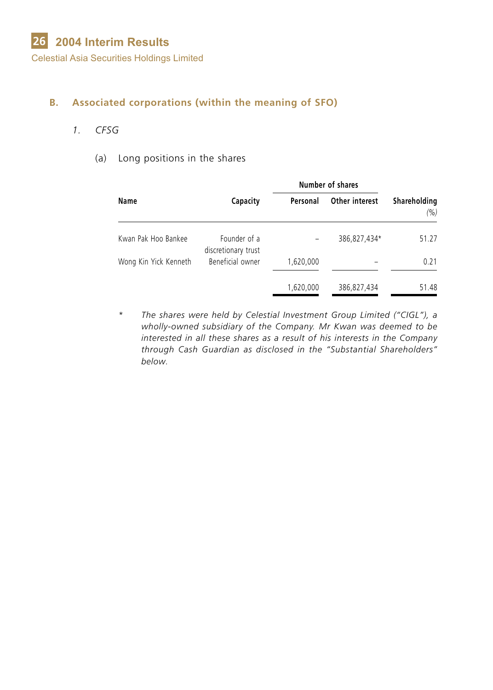Celestial Asia Securities Holdings Limited

### **B. Associated corporations (within the meaning of SFO)**

### *1. CFSG*

#### (a) Long positions in the shares

|                       |                                     | Number of shares |                |                      |
|-----------------------|-------------------------------------|------------------|----------------|----------------------|
| Name                  | Capacity                            | Personal         | Other interest | Shareholding<br>(% ) |
| Kwan Pak Hoo Bankee   | Founder of a<br>discretionary trust |                  | 386,827,434*   | 51.27                |
| Wong Kin Yick Kenneth | Beneficial owner                    | 1,620,000        |                | 0.21                 |
|                       |                                     | 1,620,000        | 386,827,434    | 51.48                |

*\* The shares were held by Celestial Investment Group Limited ("CIGL"), a wholly-owned subsidiary of the Company. Mr Kwan was deemed to be interested in all these shares as a result of his interests in the Company through Cash Guardian as disclosed in the "Substantial Shareholders" below.*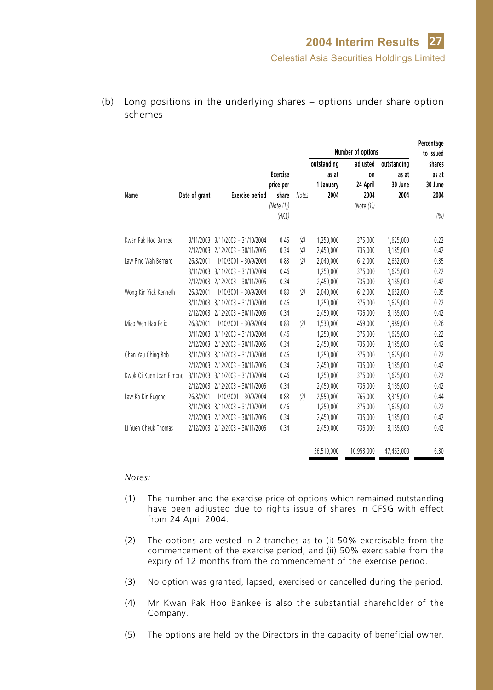- **Percentage Number of options to issued outstanding adjusted outstanding shares Exercise as at on as at as at price per 1 January 24 April 30 June 30 June Name Date of grant Exercise period share** *Notes* **2004 2004 2004 2004** *(Note (1)) (Note (1)) (HK\$) (%)* Kwan Pak Hoo Bankee 3/11/2003 3/11/2003 – 31/10/2004 0.46 *(4)* 1,250,000 375,000 1,625,000 0.22 2/12/2003 2/12/2003 – 30/11/2005 0.34 *(4)* 2,450,000 735,000 3,185,000 0.42 Law Ping Wah Bernard 26/3/2001 1/10/2001 – 30/9/2004 0.83 *(2)* 2,040,000 612,000 2,652,000 0.35 3/11/2003 3/11/2003 – 31/10/2004 0.46 1,250,000 375,000 1,625,000 0.22 2/12/2003 2/12/2003 – 30/11/2005 0.34 2,450,000 735,000 3,185,000 0.42 Wong Kin Yick Kenneth 26/3/2001 1/10/2001 – 30/9/2004 0.83 *(2)* 2,040,000 612,000 2,652,000 0.35 3/11/2003 3/11/2003 – 31/10/2004 0.46 1,250,000 375,000 1,625,000 0.22 2/12/2003 2/12/2003 – 30/11/2005 0.34 2,450,000 735,000 3,185,000 0.42 Miao Wen Hao Felix 26/3/2001 1/10/2001 – 30/9/2004 0.83 *(2)* 1,530,000 459,000 1,989,000 0.26 3/11/2003 3/11/2003 – 31/10/2004 0.46 1,250,000 375,000 1,625,000 0.22 2/12/2003 2/12/2003 – 30/11/2005 0.34 2,450,000 735,000 3,185,000 0.42 Chan Yau Ching Bob 3/11/2003 3/11/2003 – 31/10/2004 0.46 1,250,000 375,000 1,625,000 0.22 2/12/2003 2/12/2003 – 30/11/2005 0.34 2,450,000 735,000 3,185,000 0.42 Kwok Oi Kuen Joan Elmond 3/11/2003 3/11/2003 – 31/10/2004 0.46 1,250,000 375,000 1,625,000 0.22 2/12/2003 2/12/2003 – 30/11/2005 0.34 2,450,000 735,000 3,185,000 0.42 Law Ka Kin Eugene 26/3/2001 1/10/2001 – 30/9/2004 0.83 *(2)* 2,550,000 765,000 3,315,000 0.44 3/11/2003 3/11/2003 – 31/10/2004 0.46 1,250,000 375,000 1,625,000 0.22 2/12/2003 2/12/2003 – 30/11/2005 0.34 2,450,000 735,000 3,185,000 0.42 Li Yuen Cheuk Thomas 2/12/2003 2/12/2003 – 30/11/2005 0.34 2,450,000 735,000 3,185,000 0.42 36,510,000 10,953,000 47,463,000 6.30
- (b) Long positions in the underlying shares options under share option schemes

- (1) The number and the exercise price of options which remained outstanding have been adjusted due to rights issue of shares in CFSG with effect from 24 April 2004.
- (2) The options are vested in 2 tranches as to (i) 50% exercisable from the commencement of the exercise period; and (ii) 50% exercisable from the expiry of 12 months from the commencement of the exercise period.
- (3) No option was granted, lapsed, exercised or cancelled during the period.
- (4) Mr Kwan Pak Hoo Bankee is also the substantial shareholder of the Company.
- (5) The options are held by the Directors in the capacity of beneficial owner.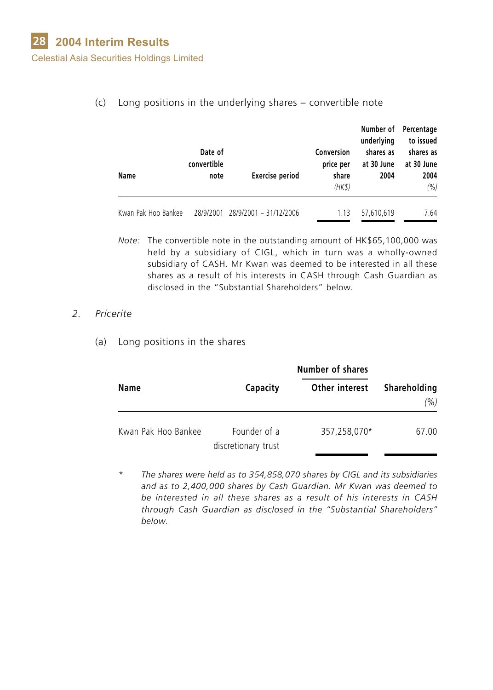Celestial Asia Securities Holdings Limited

| Name                | Date of<br>convertible<br>note | <b>Exercise period</b>           | Conversion<br>price per<br>share<br>(HK\$) | Number of<br>underlying<br>shares as<br>at 30 June<br>2004 | Percentage<br>to issued<br>shares as<br>at 30 June<br>2004<br>(%) |
|---------------------|--------------------------------|----------------------------------|--------------------------------------------|------------------------------------------------------------|-------------------------------------------------------------------|
| Kwan Pak Hoo Bankee |                                | 28/9/2001 28/9/2001 - 31/12/2006 | 1.13                                       | 57,610,619                                                 | 7.64                                                              |

(c) Long positions in the underlying shares – convertible note

*Note:* The convertible note in the outstanding amount of HK\$65,100,000 was held by a subsidiary of CIGL, which in turn was a wholly-owned subsidiary of CASH. Mr Kwan was deemed to be interested in all these shares as a result of his interests in CASH through Cash Guardian as disclosed in the "Substantial Shareholders" below.

#### *2. Pricerite*

(a) Long positions in the shares

|                     |                                     | <b>Number of shares</b> |                      |  |
|---------------------|-------------------------------------|-------------------------|----------------------|--|
| Name                | Capacity                            | Other interest          | Shareholding<br>(% ) |  |
| Kwan Pak Hoo Bankee | Founder of a<br>discretionary trust | 357,258,070*            | 67.00                |  |

*\* The shares were held as to 354,858,070 shares by CIGL and its subsidiaries and as to 2,400,000 shares by Cash Guardian. Mr Kwan was deemed to be interested in all these shares as a result of his interests in CASH through Cash Guardian as disclosed in the "Substantial Shareholders" below.*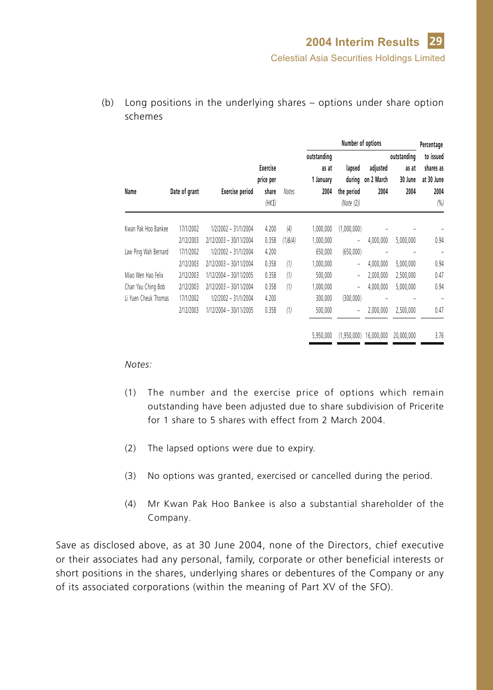|                      |               |                        |                                         |         | Number of options                         |                                    |                                       |                                         | Percentage                                          |
|----------------------|---------------|------------------------|-----------------------------------------|---------|-------------------------------------------|------------------------------------|---------------------------------------|-----------------------------------------|-----------------------------------------------------|
| Name                 | Date of grant | <b>Exercise period</b> | Exercise<br>price per<br>share<br>(HKS) | Notes   | outstanding<br>as at<br>1 January<br>2004 | lapsed<br>the period<br>(Note (2)) | adjusted<br>during on 2 March<br>2004 | outstanding<br>as at<br>30 June<br>2004 | to issued<br>shares as<br>at 30 June<br>2004<br>(%) |
| Kwan Pak Hoo Bankee  | 17/1/2002     | 1/2/2002 - 31/1/2004   | 4.200                                   | (4)     | 1,000,000                                 | (1,000,000)                        |                                       |                                         |                                                     |
|                      | 2/12/2003     | 2/12/2003 - 30/11/2004 | 0.358                                   | (1)8(4) | 1,000,000                                 | ÷                                  | 4,000,000                             | 5,000,000                               | 0.94                                                |
| Law Ping Wah Bernard | 17/1/2002     | 1/2/2002 - 31/1/2004   | 4.200                                   |         | 650,000                                   | (650,000)                          |                                       |                                         | ٠                                                   |
|                      | 2/12/2003     | 2/12/2003 - 30/11/2004 | 0.358                                   | (1)     | 1,000,000                                 | ä,                                 | 4,000,000                             | 5,000,000                               | 0.94                                                |
| Miao Wen Hao Felix   | 2/12/2003     | 1/12/2004 - 30/11/2005 | 0.358                                   | (1)     | 500,000                                   | $\overline{a}$                     | 2,000,000                             | 2,500,000                               | 0.47                                                |
| Chan Yau Ching Bob   | 2/12/2003     | 2/12/2003 - 30/11/2004 | 0.358                                   | (1)     | ,000,000                                  | -                                  | 4.000.000                             | 5,000,000                               | 0.94                                                |
| Li Yuen Cheuk Thomas | 17/1/2002     | 1/2/2002 - 31/1/2004   | 4.200                                   |         | 300,000                                   | (300,000)                          |                                       | ۰                                       |                                                     |
|                      | 2/12/2003     | 1/12/2004 - 30/11/2005 | 0.358                                   | (1)     | 500,000                                   | $\overline{a}$                     | 2,000,000                             | 2,500,000                               | 0.47                                                |
|                      |               |                        |                                         |         | 5,950,000                                 | (1.950.000)                        | 16.000.000                            | 20.000.000                              | 3.76                                                |

(b) Long positions in the underlying shares – options under share option schemes

#### *Notes:*

- (1) The number and the exercise price of options which remain outstanding have been adjusted due to share subdivision of Pricerite for 1 share to 5 shares with effect from 2 March 2004.
- (2) The lapsed options were due to expiry.
- (3) No options was granted, exercised or cancelled during the period.
- (4) Mr Kwan Pak Hoo Bankee is also a substantial shareholder of the Company.

Save as disclosed above, as at 30 June 2004, none of the Directors, chief executive or their associates had any personal, family, corporate or other beneficial interests or short positions in the shares, underlying shares or debentures of the Company or any of its associated corporations (within the meaning of Part XV of the SFO).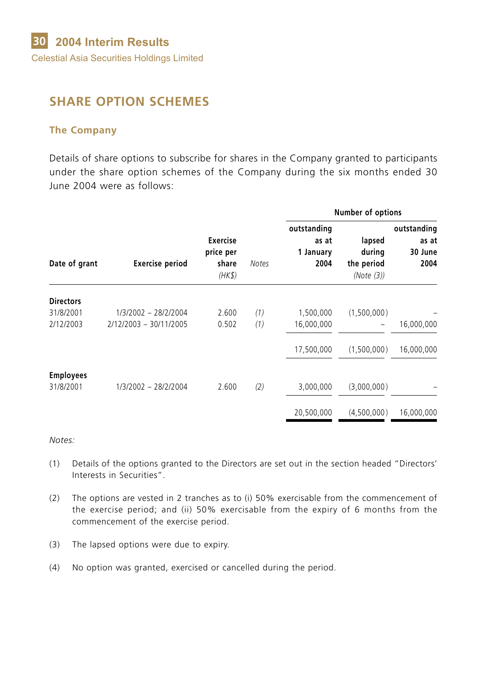# **SHARE OPTION SCHEMES**

#### **The Company**

Details of share options to subscribe for shares in the Company granted to participants under the share option schemes of the Company during the six months ended 30 June 2004 were as follows:

|                  |                        |                                          |       |                                           |                                              | Number of options                       |  |  |
|------------------|------------------------|------------------------------------------|-------|-------------------------------------------|----------------------------------------------|-----------------------------------------|--|--|
| Date of grant    | <b>Exercise period</b> | Exercise<br>price per<br>share<br>(HK\$) | Notes | outstanding<br>as at<br>1 January<br>2004 | lapsed<br>during<br>the period<br>(Note (3)) | outstanding<br>as at<br>30 June<br>2004 |  |  |
| <b>Directors</b> |                        |                                          |       |                                           |                                              |                                         |  |  |
| 31/8/2001        | 1/3/2002 - 28/2/2004   | 2.600                                    | (1)   | 1,500,000                                 | (1,500,000)                                  |                                         |  |  |
| 2/12/2003        | 2/12/2003 - 30/11/2005 | 0.502                                    | (1)   | 16,000,000                                |                                              | 16,000,000                              |  |  |
|                  |                        |                                          |       | 17,500,000                                | (1,500,000)                                  | 16,000,000                              |  |  |
| <b>Employees</b> |                        |                                          |       |                                           |                                              |                                         |  |  |
| 31/8/2001        | 1/3/2002 - 28/2/2004   | 2.600                                    | (2)   | 3,000,000                                 | (3,000,000)                                  |                                         |  |  |
|                  |                        |                                          |       | 20,500,000                                | (4,500,000)                                  | 16,000,000                              |  |  |

- (1) Details of the options granted to the Directors are set out in the section headed "Directors' Interests in Securities".
- (2) The options are vested in 2 tranches as to (i) 50% exercisable from the commencement of the exercise period; and (ii) 50% exercisable from the expiry of 6 months from the commencement of the exercise period.
- (3) The lapsed options were due to expiry.
- (4) No option was granted, exercised or cancelled during the period.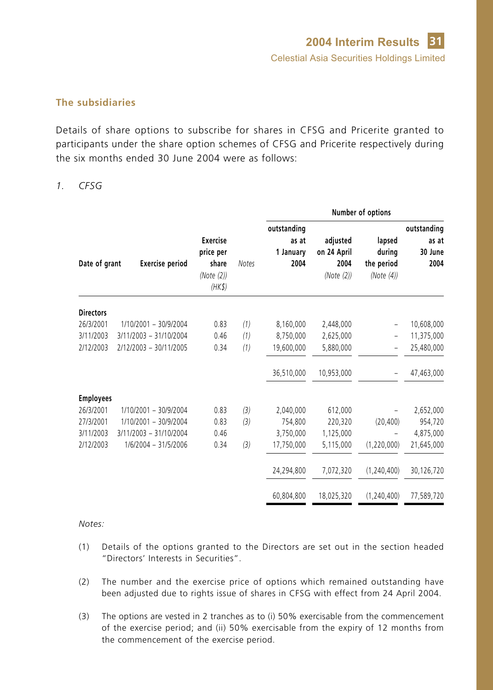#### **The subsidiaries**

Details of share options to subscribe for shares in CFSG and Pricerite granted to participants under the share option schemes of CFSG and Pricerite respectively during the six months ended 30 June 2004 were as follows:

#### *1. CFSG*

|                  |                        |                      |       |                      |             | Number of options |                      |
|------------------|------------------------|----------------------|-------|----------------------|-------------|-------------------|----------------------|
|                  |                        | Exercise             |       | outstanding<br>as at | adjusted    | lapsed            | outstanding<br>as at |
|                  |                        | price per            |       | 1 January            | on 24 April | during            | 30 June              |
| Date of grant    | <b>Exercise period</b> | share                | Notes | 2004                 | 2004        | the period        | 2004                 |
|                  |                        | (Note (2))<br>(HK\$) |       |                      | (Note (2))  | (Note $(4)$ )     |                      |
| <b>Directors</b> |                        |                      |       |                      |             |                   |                      |
| 26/3/2001        | 1/10/2001 - 30/9/2004  | 0.83                 | (1)   | 8,160,000            | 2,448,000   | $\qquad \qquad -$ | 10,608,000           |
| 3/11/2003        | 3/11/2003 - 31/10/2004 | 0.46                 | (1)   | 8,750,000            | 2,625,000   | $\qquad \qquad -$ | 11,375,000           |
| 2/12/2003        | 2/12/2003 - 30/11/2005 | 0.34                 | (1)   | 19,600,000           | 5,880,000   |                   | 25,480,000           |
|                  |                        |                      |       | 36,510,000           | 10,953,000  |                   | 47,463,000           |
| <b>Employees</b> |                        |                      |       |                      |             |                   |                      |
| 26/3/2001        | 1/10/2001 - 30/9/2004  | 0.83                 | (3)   | 2,040,000            | 612,000     |                   | 2,652,000            |
| 27/3/2001        | 1/10/2001 - 30/9/2004  | 0.83                 | (3)   | 754,800              | 220,320     | (20, 400)         | 954,720              |
| 3/11/2003        | 3/11/2003 - 31/10/2004 | 0.46                 |       | 3,750,000            | 1,125,000   |                   | 4,875,000            |
| 2/12/2003        | 1/6/2004 - 31/5/2006   | 0.34                 | (3)   | 17,750,000           | 5,115,000   | (1,220,000)       | 21,645,000           |
|                  |                        |                      |       | 24,294,800           | 7,072,320   | (1, 240, 400)     | 30,126,720           |
|                  |                        |                      |       | 60,804,800           | 18,025,320  | (1, 240, 400)     | 77,589,720           |

- (1) Details of the options granted to the Directors are set out in the section headed "Directors' Interests in Securities".
- (2) The number and the exercise price of options which remained outstanding have been adjusted due to rights issue of shares in CFSG with effect from 24 April 2004.
- (3) The options are vested in 2 tranches as to (i) 50% exercisable from the commencement of the exercise period; and (ii) 50% exercisable from the expiry of 12 months from the commencement of the exercise period.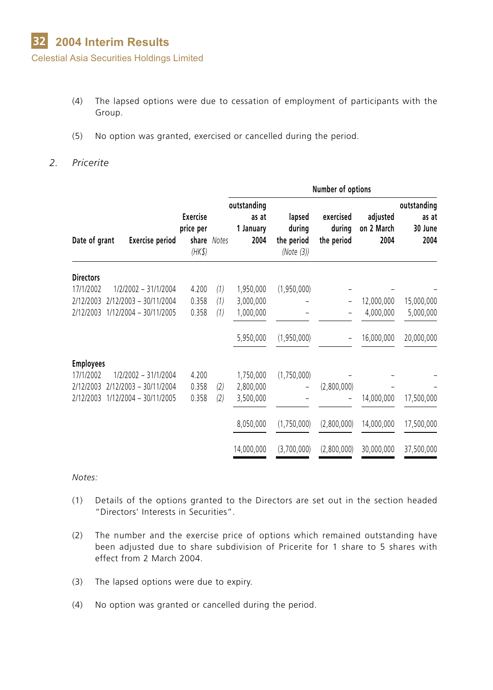- (4) The lapsed options were due to cessation of employment of participants with the Group.
- (5) No option was granted, exercised or cancelled during the period.
- *2. Pricerite*

|                  |                        |                                        |             | Number of options                         |                                              |                                   |                                |                                         |
|------------------|------------------------|----------------------------------------|-------------|-------------------------------------------|----------------------------------------------|-----------------------------------|--------------------------------|-----------------------------------------|
| Date of grant    | <b>Exercise period</b> | <b>Exercise</b><br>price per<br>(HK\$) | share Notes | outstanding<br>as at<br>1 January<br>2004 | lapsed<br>during<br>the period<br>(Note (3)) | exercised<br>during<br>the period | adjusted<br>on 2 March<br>2004 | outstanding<br>as at<br>30 June<br>2004 |
| <b>Directors</b> |                        |                                        |             |                                           |                                              |                                   |                                |                                         |
| 17/1/2002        | 1/2/2002 - 31/1/2004   | 4.200                                  | (1)         | 1,950,000                                 | (1,950,000)                                  |                                   |                                |                                         |
| 2/12/2003        | 2/12/2003 - 30/11/2004 | 0.358                                  | (1)         | 3,000,000                                 |                                              |                                   | 12,000,000                     | 15,000,000                              |
| 2/12/2003        | 1/12/2004 - 30/11/2005 | 0.358                                  | (1)         | 1,000,000                                 |                                              |                                   | 4,000,000                      | 5,000,000                               |
|                  |                        |                                        |             | 5,950,000                                 | (1,950,000)                                  | $\overline{a}$                    | 16,000,000                     | 20,000,000                              |
| <b>Employees</b> |                        |                                        |             |                                           |                                              |                                   |                                |                                         |
| 17/1/2002        | 1/2/2002 - 31/1/2004   | 4.200                                  |             | 1,750,000                                 | (1,750,000)                                  |                                   |                                |                                         |
| 2/12/2003        | 2/12/2003 - 30/11/2004 | 0.358                                  | (2)         | 2,800,000                                 |                                              | (2,800,000)                       |                                |                                         |
| 2/12/2003        | 1/12/2004 - 30/11/2005 | 0.358                                  | (2)         | 3,500,000                                 |                                              |                                   | 14,000,000                     | 17,500,000                              |
|                  |                        |                                        |             | 8,050,000                                 | (1,750,000)                                  | (2,800,000)                       | 14,000,000                     | 17,500,000                              |
|                  |                        |                                        |             | 14,000,000                                | (3,700,000)                                  | (2,800,000)                       | 30,000,000                     | 37,500,000                              |

- (1) Details of the options granted to the Directors are set out in the section headed "Directors' Interests in Securities".
- (2) The number and the exercise price of options which remained outstanding have been adjusted due to share subdivision of Pricerite for 1 share to 5 shares with effect from 2 March 2004.
- (3) The lapsed options were due to expiry.
- (4) No option was granted or cancelled during the period.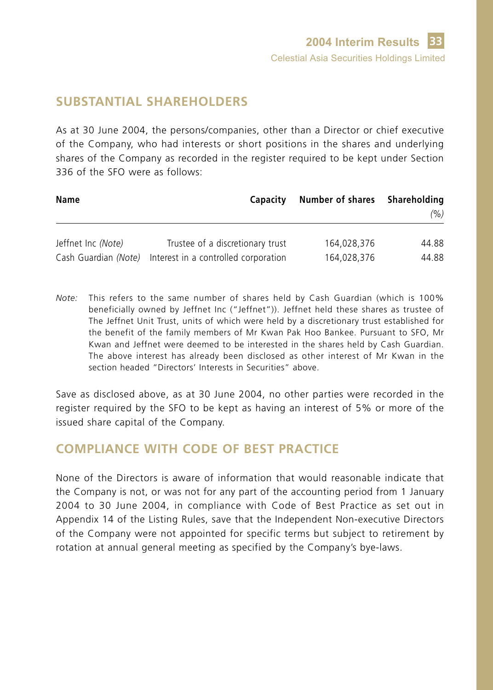# **SUBSTANTIAL SHAREHOLDERS**

As at 30 June 2004, the persons/companies, other than a Director or chief executive of the Company, who had interests or short positions in the shares and underlying shares of the Company as recorded in the register required to be kept under Section 336 of the SFO were as follows:

| Name                 | Capacity                             | Number of shares | Shareholding<br>(% ) |
|----------------------|--------------------------------------|------------------|----------------------|
| Jeffnet Inc (Note)   | Trustee of a discretionary trust     | 164.028.376      | 44.88                |
| Cash Guardian (Note) | Interest in a controlled corporation | 164.028.376      | 44.88                |

*Note:* This refers to the same number of shares held by Cash Guardian (which is 100% beneficially owned by Jeffnet Inc ("Jeffnet")). Jeffnet held these shares as trustee of The Jeffnet Unit Trust, units of which were held by a discretionary trust established for the benefit of the family members of Mr Kwan Pak Hoo Bankee. Pursuant to SFO, Mr Kwan and Jeffnet were deemed to be interested in the shares held by Cash Guardian. The above interest has already been disclosed as other interest of Mr Kwan in the section headed "Directors' Interests in Securities" above.

Save as disclosed above, as at 30 June 2004, no other parties were recorded in the register required by the SFO to be kept as having an interest of 5% or more of the issued share capital of the Company.

# **COMPLIANCE WITH CODE OF BEST PRACTICE**

None of the Directors is aware of information that would reasonable indicate that the Company is not, or was not for any part of the accounting period from 1 January 2004 to 30 June 2004, in compliance with Code of Best Practice as set out in Appendix 14 of the Listing Rules, save that the Independent Non-executive Directors of the Company were not appointed for specific terms but subject to retirement by rotation at annual general meeting as specified by the Company's bye-laws.